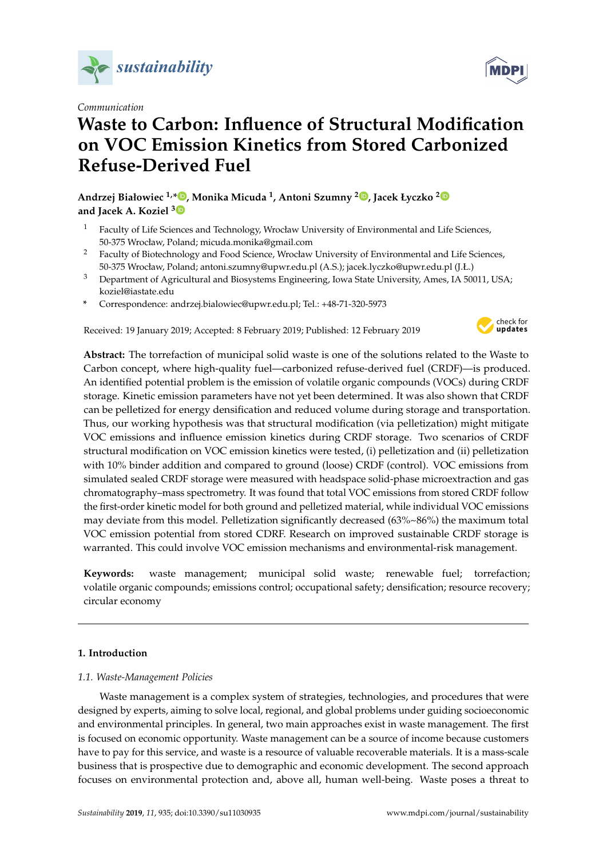

*Communication*

# **Waste to Carbon: Influence of Structural Modification on VOC Emission Kinetics from Stored Carbonized Refuse-Derived Fuel**

**Andrzej Białowiec 1,[\\*](https://orcid.org/0000-0002-5871-2129) , Monika Micuda <sup>1</sup> , Antoni Szumny <sup>2</sup> [,](https://orcid.org/0000-0002-0536-153X) Jacek Łyczko [2](https://orcid.org/0000-0002-8423-7296) and Jacek A. Koziel [3](https://orcid.org/0000-0002-2387-0354)**

- <sup>1</sup> Faculty of Life Sciences and Technology, Wrocław University of Environmental and Life Sciences, 50-375 Wrocław, Poland; micuda.monika@gmail.com
- <sup>2</sup> Faculty of Biotechnology and Food Science, Wrocław University of Environmental and Life Sciences, 50-375 Wrocław, Poland; antoni.szumny@upwr.edu.pl (A.S.); jacek.lyczko@upwr.edu.pl (J.Ł.)
- <sup>3</sup> Department of Agricultural and Biosystems Engineering, Iowa State University, Ames, IA 50011, USA; koziel@iastate.edu
- **\*** Correspondence: andrzej.bialowiec@upwr.edu.pl; Tel.: +48-71-320-5973

Received: 19 January 2019; Accepted: 8 February 2019; Published: 12 February 2019



**Abstract:** The torrefaction of municipal solid waste is one of the solutions related to the Waste to Carbon concept, where high-quality fuel—carbonized refuse-derived fuel (CRDF)—is produced. An identified potential problem is the emission of volatile organic compounds (VOCs) during CRDF storage. Kinetic emission parameters have not yet been determined. It was also shown that CRDF can be pelletized for energy densification and reduced volume during storage and transportation. Thus, our working hypothesis was that structural modification (via pelletization) might mitigate VOC emissions and influence emission kinetics during CRDF storage. Two scenarios of CRDF structural modification on VOC emission kinetics were tested, (i) pelletization and (ii) pelletization with 10% binder addition and compared to ground (loose) CRDF (control). VOC emissions from simulated sealed CRDF storage were measured with headspace solid-phase microextraction and gas chromatography–mass spectrometry. It was found that total VOC emissions from stored CRDF follow the first-order kinetic model for both ground and pelletized material, while individual VOC emissions may deviate from this model. Pelletization significantly decreased (63%~86%) the maximum total VOC emission potential from stored CDRF. Research on improved sustainable CRDF storage is warranted. This could involve VOC emission mechanisms and environmental-risk management.

**Keywords:** waste management; municipal solid waste; renewable fuel; torrefaction; volatile organic compounds; emissions control; occupational safety; densification; resource recovery; circular economy

## **1. Introduction**

## *1.1. Waste-Management Policies*

Waste management is a complex system of strategies, technologies, and procedures that were designed by experts, aiming to solve local, regional, and global problems under guiding socioeconomic and environmental principles. In general, two main approaches exist in waste management. The first is focused on economic opportunity. Waste management can be a source of income because customers have to pay for this service, and waste is a resource of valuable recoverable materials. It is a mass-scale business that is prospective due to demographic and economic development. The second approach focuses on environmental protection and, above all, human well-being. Waste poses a threat to

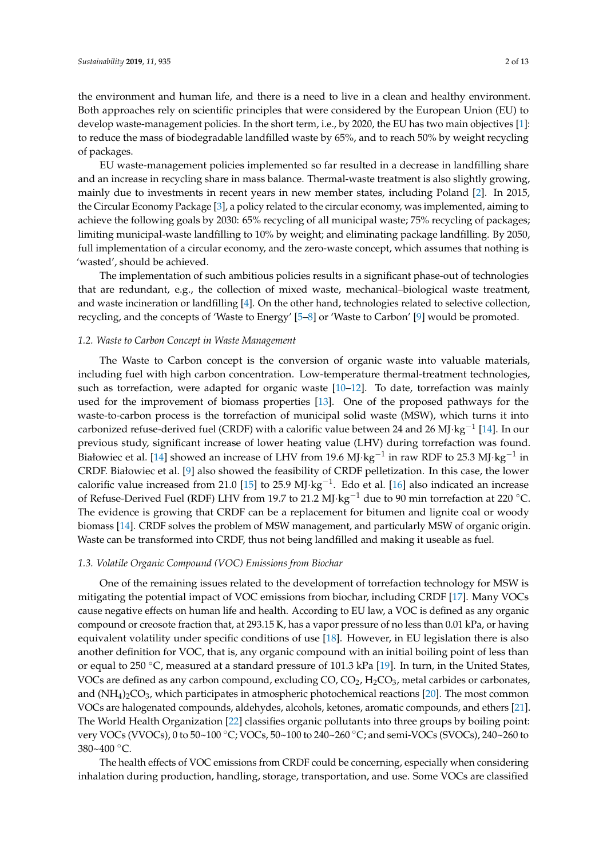the environment and human life, and there is a need to live in a clean and healthy environment. Both approaches rely on scientific principles that were considered by the European Union (EU) to develop waste-management policies. In the short term, i.e., by 2020, the EU has two main objectives [\[1\]](#page-10-0): to reduce the mass of biodegradable landfilled waste by 65%, and to reach 50% by weight recycling of packages.

EU waste-management policies implemented so far resulted in a decrease in landfilling share and an increase in recycling share in mass balance. Thermal-waste treatment is also slightly growing, mainly due to investments in recent years in new member states, including Poland [\[2\]](#page-10-1). In 2015, the Circular Economy Package [\[3\]](#page-10-2), a policy related to the circular economy, was implemented, aiming to achieve the following goals by 2030: 65% recycling of all municipal waste; 75% recycling of packages; limiting municipal-waste landfilling to 10% by weight; and eliminating package landfilling. By 2050, full implementation of a circular economy, and the zero-waste concept, which assumes that nothing is 'wasted', should be achieved.

The implementation of such ambitious policies results in a significant phase-out of technologies that are redundant, e.g., the collection of mixed waste, mechanical–biological waste treatment, and waste incineration or landfilling [\[4\]](#page-10-3). On the other hand, technologies related to selective collection, recycling, and the concepts of 'Waste to Energy' [\[5](#page-10-4)[–8\]](#page-10-5) or 'Waste to Carbon' [\[9\]](#page-10-6) would be promoted.

### *1.2. Waste to Carbon Concept in Waste Management*

The Waste to Carbon concept is the conversion of organic waste into valuable materials, including fuel with high carbon concentration. Low-temperature thermal-treatment technologies, such as torrefaction, were adapted for organic waste  $[10-12]$  $[10-12]$ . To date, torrefaction was mainly used for the improvement of biomass properties [\[13\]](#page-10-9). One of the proposed pathways for the waste-to-carbon process is the torrefaction of municipal solid waste (MSW), which turns it into carbonized refuse-derived fuel (CRDF) with a calorific value between 24 and 26 MJ·kg<sup>-1</sup> [\[14\]](#page-10-10). In our previous study, significant increase of lower heating value (LHV) during torrefaction was found. Białowiec et al. [\[14\]](#page-10-10) showed an increase of LHV from 19.6 MJ·kg<sup>-1</sup> in raw RDF to 25.3 MJ·kg<sup>-1</sup> in CRDF. Białowiec et al. [\[9\]](#page-10-6) also showed the feasibility of CRDF pelletization. In this case, the lower calorific value increased from 21.0 [\[15\]](#page-10-11) to 25.9 MJ·kg<sup>-1</sup>. Edo et al. [\[16\]](#page-10-12) also indicated an increase of Refuse-Derived Fuel (RDF) LHV from 19.7 to 21.2 MJ⋅kg<sup>-1</sup> due to 90 min torrefaction at 220 °C. The evidence is growing that CRDF can be a replacement for bitumen and lignite coal or woody biomass [\[14\]](#page-10-10). CRDF solves the problem of MSW management, and particularly MSW of organic origin. Waste can be transformed into CRDF, thus not being landfilled and making it useable as fuel.

#### *1.3. Volatile Organic Compound (VOC) Emissions from Biochar*

One of the remaining issues related to the development of torrefaction technology for MSW is mitigating the potential impact of VOC emissions from biochar, including CRDF [\[17\]](#page-10-13). Many VOCs cause negative effects on human life and health. According to EU law, a VOC is defined as any organic compound or creosote fraction that, at 293.15 K, has a vapor pressure of no less than 0.01 kPa, or having equivalent volatility under specific conditions of use [\[18\]](#page-10-14). However, in EU legislation there is also another definition for VOC, that is, any organic compound with an initial boiling point of less than or equal to 250 °C, measured at a standard pressure of 101.3 kPa [\[19\]](#page-10-15). In turn, in the United States, VOCs are defined as any carbon compound, excluding  $CO$ ,  $CO<sub>2</sub>$ ,  $H<sub>2</sub>CO<sub>3</sub>$ , metal carbides or carbonates, and  $(NH_4)_2CO_3$ , which participates in atmospheric photochemical reactions [\[20\]](#page-10-16). The most common VOCs are halogenated compounds, aldehydes, alcohols, ketones, aromatic compounds, and ethers [\[21\]](#page-10-17). The World Health Organization [\[22\]](#page-11-0) classifies organic pollutants into three groups by boiling point: very VOCs (VVOCs), 0 to 50~100 ◦C; VOCs, 50~100 to 240~260 ◦C; and semi-VOCs (SVOCs), 240~260 to  $380~400~^{\circ}$ C.

The health effects of VOC emissions from CRDF could be concerning, especially when considering inhalation during production, handling, storage, transportation, and use. Some VOCs are classified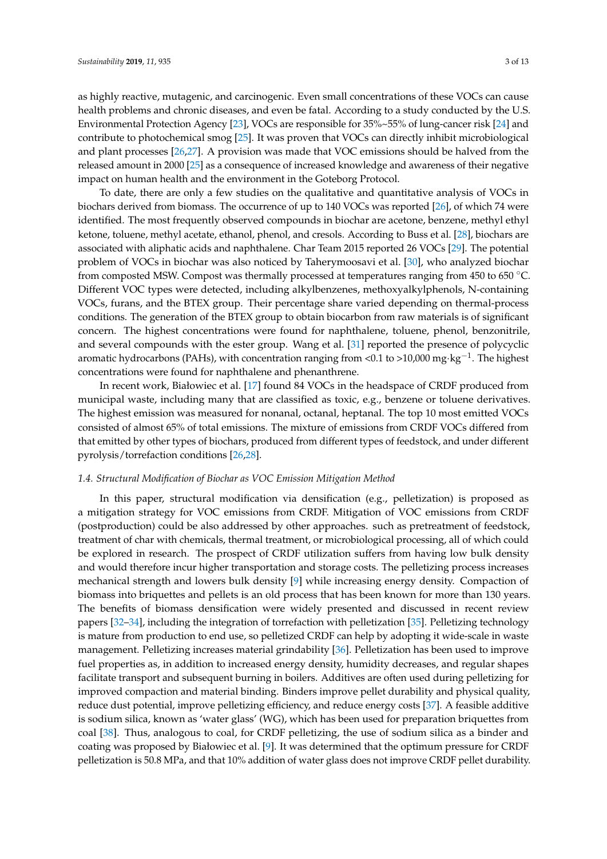as highly reactive, mutagenic, and carcinogenic. Even small concentrations of these VOCs can cause health problems and chronic diseases, and even be fatal. According to a study conducted by the U.S. Environmental Protection Agency [\[23\]](#page-11-1), VOCs are responsible for 35%~55% of lung-cancer risk [\[24\]](#page-11-2) and contribute to photochemical smog [\[25\]](#page-11-3). It was proven that VOCs can directly inhibit microbiological and plant processes [\[26,](#page-11-4)[27\]](#page-11-5). A provision was made that VOC emissions should be halved from the released amount in 2000 [\[25\]](#page-11-3) as a consequence of increased knowledge and awareness of their negative impact on human health and the environment in the Goteborg Protocol.

To date, there are only a few studies on the qualitative and quantitative analysis of VOCs in biochars derived from biomass. The occurrence of up to 140 VOCs was reported [\[26\]](#page-11-4), of which 74 were identified. The most frequently observed compounds in biochar are acetone, benzene, methyl ethyl ketone, toluene, methyl acetate, ethanol, phenol, and cresols. According to Buss et al. [\[28\]](#page-11-6), biochars are associated with aliphatic acids and naphthalene. Char Team 2015 reported 26 VOCs [\[29\]](#page-11-7). The potential problem of VOCs in biochar was also noticed by Taherymoosavi et al. [\[30\]](#page-11-8), who analyzed biochar from composted MSW. Compost was thermally processed at temperatures ranging from 450 to 650 °C. Different VOC types were detected, including alkylbenzenes, methoxyalkylphenols, N-containing VOCs, furans, and the BTEX group. Their percentage share varied depending on thermal-process conditions. The generation of the BTEX group to obtain biocarbon from raw materials is of significant concern. The highest concentrations were found for naphthalene, toluene, phenol, benzonitrile, and several compounds with the ester group. Wang et al. [\[31\]](#page-11-9) reported the presence of polycyclic aromatic hydrocarbons (PAHs), with concentration ranging from <0.1 to >10,000 mg·kg $^{-1}$ . The highest concentrations were found for naphthalene and phenanthrene.

In recent work, Białowiec et al. [\[17\]](#page-10-13) found 84 VOCs in the headspace of CRDF produced from municipal waste, including many that are classified as toxic, e.g., benzene or toluene derivatives. The highest emission was measured for nonanal, octanal, heptanal. The top 10 most emitted VOCs consisted of almost 65% of total emissions. The mixture of emissions from CRDF VOCs differed from that emitted by other types of biochars, produced from different types of feedstock, and under different pyrolysis/torrefaction conditions [\[26,](#page-11-4)[28\]](#page-11-6).

#### *1.4. Structural Modification of Biochar as VOC Emission Mitigation Method*

In this paper, structural modification via densification (e.g., pelletization) is proposed as a mitigation strategy for VOC emissions from CRDF. Mitigation of VOC emissions from CRDF (postproduction) could be also addressed by other approaches. such as pretreatment of feedstock, treatment of char with chemicals, thermal treatment, or microbiological processing, all of which could be explored in research. The prospect of CRDF utilization suffers from having low bulk density and would therefore incur higher transportation and storage costs. The pelletizing process increases mechanical strength and lowers bulk density [\[9\]](#page-10-6) while increasing energy density. Compaction of biomass into briquettes and pellets is an old process that has been known for more than 130 years. The benefits of biomass densification were widely presented and discussed in recent review papers [\[32–](#page-11-10)[34\]](#page-11-11), including the integration of torrefaction with pelletization [\[35\]](#page-11-12). Pelletizing technology is mature from production to end use, so pelletized CRDF can help by adopting it wide-scale in waste management. Pelletizing increases material grindability [\[36\]](#page-11-13). Pelletization has been used to improve fuel properties as, in addition to increased energy density, humidity decreases, and regular shapes facilitate transport and subsequent burning in boilers. Additives are often used during pelletizing for improved compaction and material binding. Binders improve pellet durability and physical quality, reduce dust potential, improve pelletizing efficiency, and reduce energy costs [\[37\]](#page-11-14). A feasible additive is sodium silica, known as 'water glass' (WG), which has been used for preparation briquettes from coal [\[38\]](#page-11-15). Thus, analogous to coal, for CRDF pelletizing, the use of sodium silica as a binder and coating was proposed by Białowiec et al. [\[9\]](#page-10-6). It was determined that the optimum pressure for CRDF pelletization is 50.8 MPa, and that 10% addition of water glass does not improve CRDF pellet durability.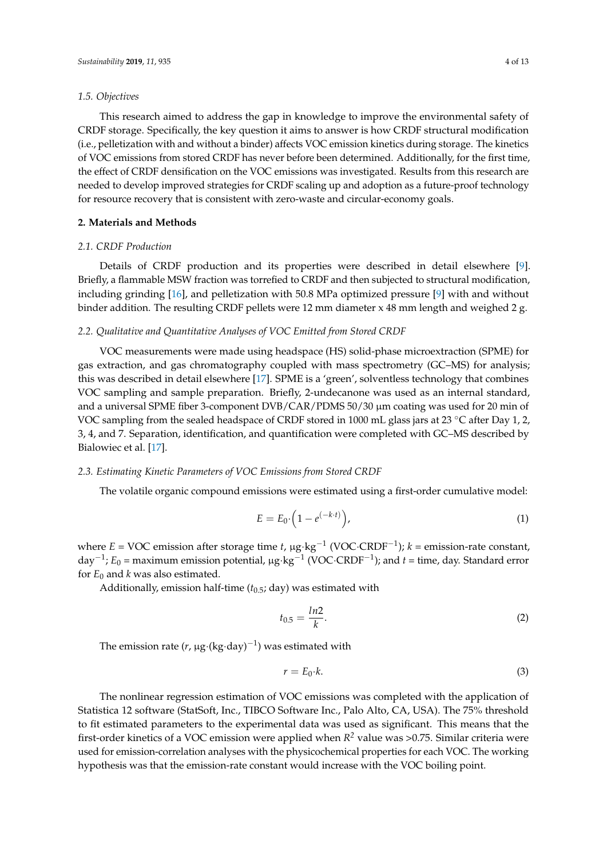### *1.5. Objectives*

This research aimed to address the gap in knowledge to improve the environmental safety of CRDF storage. Specifically, the key question it aims to answer is how CRDF structural modification (i.e., pelletization with and without a binder) affects VOC emission kinetics during storage. The kinetics of VOC emissions from stored CRDF has never before been determined. Additionally, for the first time, the effect of CRDF densification on the VOC emissions was investigated. Results from this research are needed to develop improved strategies for CRDF scaling up and adoption as a future-proof technology for resource recovery that is consistent with zero-waste and circular-economy goals.

#### **2. Materials and Methods**

#### *2.1. CRDF Production*

Details of CRDF production and its properties were described in detail elsewhere [\[9\]](#page-10-6). Briefly, a flammable MSW fraction was torrefied to CRDF and then subjected to structural modification, including grinding [\[16\]](#page-10-12), and pelletization with 50.8 MPa optimized pressure [\[9\]](#page-10-6) with and without binder addition. The resulting CRDF pellets were 12 mm diameter x 48 mm length and weighed 2 g.

#### *2.2. Qualitative and Quantitative Analyses of VOC Emitted from Stored CRDF*

VOC measurements were made using headspace (HS) solid-phase microextraction (SPME) for gas extraction, and gas chromatography coupled with mass spectrometry (GC–MS) for analysis; this was described in detail elsewhere [\[17\]](#page-10-13). SPME is a 'green', solventless technology that combines VOC sampling and sample preparation. Briefly, 2-undecanone was used as an internal standard, and a universal SPME fiber 3-component DVB/CAR/PDMS 50/30  $\mu$ m coating was used for 20 min of VOC sampling from the sealed headspace of CRDF stored in 1000 mL glass jars at 23 ◦C after Day 1, 2, 3, 4, and 7. Separation, identification, and quantification were completed with GC–MS described by Bialowiec et al. [\[17\]](#page-10-13).

#### *2.3. Estimating Kinetic Parameters of VOC Emissions from Stored CRDF*

The volatile organic compound emissions were estimated using a first-order cumulative model:

$$
E = E_0 \cdot \left(1 - e^{(-k \cdot t)}\right),\tag{1}
$$

where *E* = VOC emission after storage time *t*, µg·kg−<sup>1</sup> (VOC·CRDF−<sup>1</sup> ); *k* = emission-rate constant, day<sup>-1</sup>; *E*<sub>0</sub> = maximum emission potential, µg⋅kg<sup>-1</sup> (VOC⋅CRDF<sup>-1</sup>); and *t* = time, day. Standard error for  $E_0$  and *k* was also estimated.

Additionally, emission half-time (*t*0.5; day) was estimated with

$$
t_{0.5} = \frac{ln2}{k}.\tag{2}
$$

The emission rate (*r*, µg·(kg·day)−<sup>1</sup> ) was estimated with

$$
r = E_0 \cdot k. \tag{3}
$$

The nonlinear regression estimation of VOC emissions was completed with the application of Statistica 12 software (StatSoft, Inc., TIBCO Software Inc., Palo Alto, CA, USA). The 75% threshold to fit estimated parameters to the experimental data was used as significant. This means that the first-order kinetics of a VOC emission were applied when *R <sup>2</sup>* value was >0.75. Similar criteria were used for emission-correlation analyses with the physicochemical properties for each VOC. The working hypothesis was that the emission-rate constant would increase with the VOC boiling point.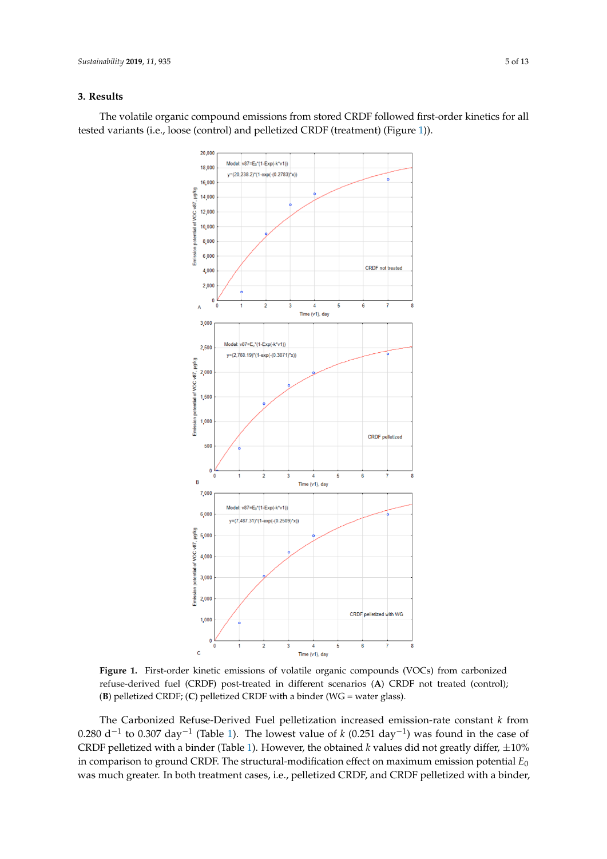## **3. Results**

<span id="page-4-0"></span>The volatile organic compound emissions from stored CRDF followed first-order kinetics for all tested variants (i.e., loose (control) and pelletized CRDF (treatment) (Figure [1\)](#page-4-0)).



**Figure 1.** First-order kinetic emissions of volatile organic compounds (VOCs) from carbonized **Figure 1.** First-order kinetic emissions of volatile organic compounds (VOCs) from carbonized refuse-derived fuel (CRDF) post-treated in different scenarios (A) CRDF not treated (control); 205 CRDF; (C) pelletized CRDF with a binder (WG = water glass)). (**B**) pelletized CRDF; (**C**) pelletized CRDF with a binder (WG = water glass).

The Carbonized Refuse-Derived Fuel pelletization increased emission-rate constant *k* from 0.280 d<sup>-1</sup> to 0.307 day<sup>-1</sup> (Table [1\)](#page-5-0). The lowest value of *k* (0.251 day<sup>-1</sup>) was found in the case of CRDF pelletized with a binder (Table [1\)](#page-5-0). However, the obtained  $k$  values did not greatly differ,  $\pm 10\%$ in comparison to ground CRDF. The structural-modification effect on maximum emission potential *E*<sup>0</sup> was much greater. In both treatment cases, i.e., pelletized CRDF, and CRDF pelletized with a binder,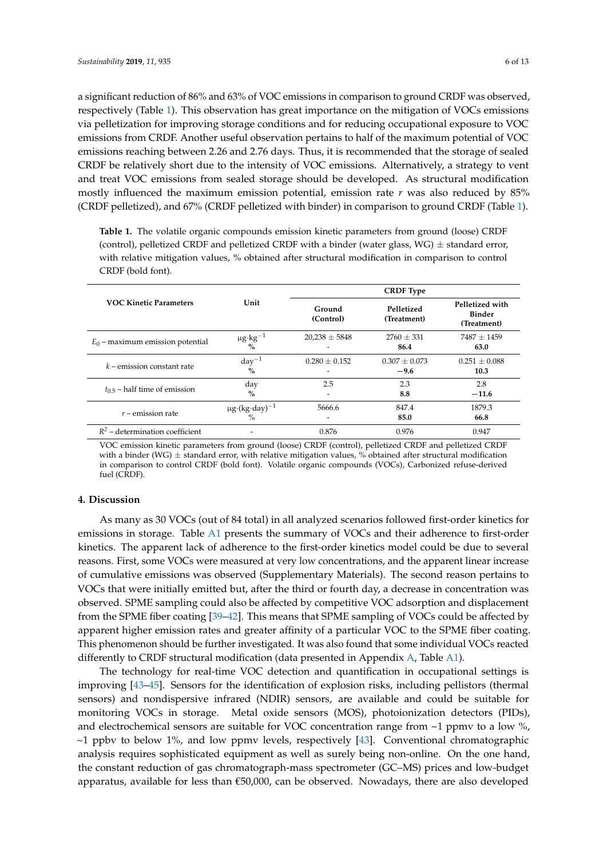a significant reduction of 86% and 63% of VOC emissions in comparison to ground CRDF was observed, respectively (Table [1\)](#page-5-0). This observation has great importance on the mitigation of VOCs emissions via pelletization for improving storage conditions and for reducing occupational exposure to VOC emissions from CRDF. Another useful observation pertains to half of the maximum potential of VOC emissions reaching between 2.26 and 2.76 days. Thus, it is recommended that the storage of sealed CRDF be relatively short due to the intensity of VOC emissions. Alternatively, a strategy to vent and treat VOC emissions from sealed storage should be developed. As structural modification mostly influenced the maximum emission potential, emission rate *r* was also reduced by 85% (CRDF pelletized), and 67% (CRDF pelletized with binder) in comparison to ground CRDF (Table [1\)](#page-5-0).

<span id="page-5-0"></span>**Table 1.** The volatile organic compounds emission kinetic parameters from ground (loose) CRDF (control), pelletized CRDF and pelletized CRDF with a binder (water glass, WG)  $\pm$  standard error, with relative mitigation values, % obtained after structural modification in comparison to control CRDF (bold font).

|                                    |                                        | <b>CRDF</b> Type                |                             |                                                 |
|------------------------------------|----------------------------------------|---------------------------------|-----------------------------|-------------------------------------------------|
| <b>VOC Kinetic Parameters</b>      | Unit                                   | Ground<br>(Control)             | Pelletized<br>(Treatment)   | Pelletized with<br><b>Binder</b><br>(Treatment) |
| $E_0$ – maximum emission potential | $\mu$ g·kg <sup>-1</sup><br>$\%$       | $20,238 \pm 5848$               | $2760 \pm 331$<br>86.4      | $7487 + 1459$<br>63.0                           |
| $k$ – emission constant rate       | $day^{-1}$<br>$\%$                     | $0.280 \pm 0.152$<br>-          | $0.307 \pm 0.073$<br>$-9.6$ | $0.251 \pm 0.088$<br>10.3                       |
| $t_{0.5}$ – half time of emission  | day<br>$\%$                            | 2.5<br>$\overline{\phantom{0}}$ | 2.3<br>8.8                  | 2.8<br>$-11.6$                                  |
| $r$ – emission rate                | $\mu$ g·(kg·day) <sup>-1</sup><br>$\%$ | 5666.6<br>-                     | 847.4<br>85.0               | 1879.3<br>66.8                                  |
| $R^2$ – determination coefficient  |                                        | 0.876                           | 0.976                       | 0.947                                           |

VOC emission kinetic parameters from ground (loose) CRDF (control), pelletized CRDF and pelletized CRDF with a binder (WG)  $\pm$  standard error, with relative mitigation values, % obtained after structural modification in comparison to control CRDF (bold font). Volatile organic compounds (VOCs), Carbonized refuse-derived fuel (CRDF).

#### **4. Discussion**

As many as 30 VOCs (out of 84 total) in all analyzed scenarios followed first-order kinetics for emissions in storage. Table [A1](#page-9-0) presents the summary of VOCs and their adherence to first-order kinetics. The apparent lack of adherence to the first-order kinetics model could be due to several reasons. First, some VOCs were measured at very low concentrations, and the apparent linear increase of cumulative emissions was observed (Supplementary Materials). The second reason pertains to VOCs that were initially emitted but, after the third or fourth day, a decrease in concentration was observed. SPME sampling could also be affected by competitive VOC adsorption and displacement from the SPME fiber coating [\[39](#page-11-16)[–42\]](#page-11-17). This means that SPME sampling of VOCs could be affected by apparent higher emission rates and greater affinity of a particular VOC to the SPME fiber coating. This phenomenon should be further investigated. It was also found that some individual VOCs reacted differently to CRDF structural modification (data presented in Appendix [A,](#page-7-0) Table [A1\)](#page-9-0).

The technology for real-time VOC detection and quantification in occupational settings is improving [\[43](#page-11-18)[–45\]](#page-12-0). Sensors for the identification of explosion risks, including pellistors (thermal sensors) and nondispersive infrared (NDIR) sensors, are available and could be suitable for monitoring VOCs in storage. Metal oxide sensors (MOS), photoionization detectors (PIDs), and electrochemical sensors are suitable for VOC concentration range from  $\sim$ 1 ppmv to a low  $\%$ ,  $\sim$ 1 ppbv to below 1%, and low ppmv levels, respectively [\[43\]](#page-11-18). Conventional chromatographic analysis requires sophisticated equipment as well as surely being non-online. On the one hand, the constant reduction of gas chromatograph-mass spectrometer (GC–MS) prices and low-budget apparatus, available for less than €50,000, can be observed. Nowadays, there are also developed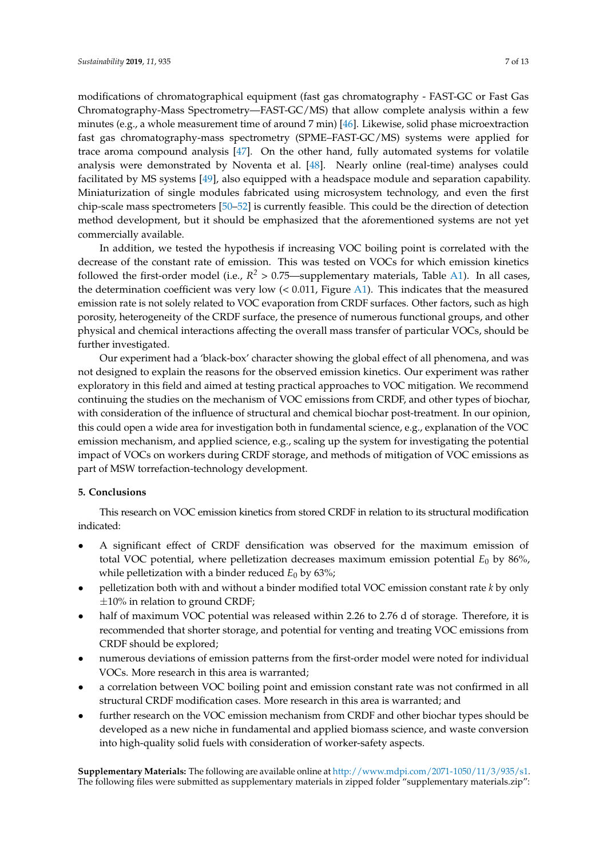modifications of chromatographical equipment (fast gas chromatography - FAST-GC or Fast Gas Chromatography-Mass Spectrometry—FAST-GC/MS) that allow complete analysis within a few minutes (e.g., a whole measurement time of around 7 min) [\[46\]](#page-12-1). Likewise, solid phase microextraction fast gas chromatography-mass spectrometry (SPME–FAST-GC/MS) systems were applied for trace aroma compound analysis [\[47\]](#page-12-2). On the other hand, fully automated systems for volatile analysis were demonstrated by Noventa et al. [\[48\]](#page-12-3). Nearly online (real-time) analyses could facilitated by MS systems [\[49\]](#page-12-4), also equipped with a headspace module and separation capability. Miniaturization of single modules fabricated using microsystem technology, and even the first chip-scale mass spectrometers [\[50–](#page-12-5)[52\]](#page-12-6) is currently feasible. This could be the direction of detection method development, but it should be emphasized that the aforementioned systems are not yet commercially available.

In addition, we tested the hypothesis if increasing VOC boiling point is correlated with the decrease of the constant rate of emission. This was tested on VOCs for which emission kinetics followed the first-order model (i.e.,  $R^2 > 0.75$ —supplementary materials, Table [A1\)](#page-9-0). In all cases, the determination coefficient was very low (< 0.011, Figure [A1\)](#page-9-1). This indicates that the measured emission rate is not solely related to VOC evaporation from CRDF surfaces. Other factors, such as high porosity, heterogeneity of the CRDF surface, the presence of numerous functional groups, and other physical and chemical interactions affecting the overall mass transfer of particular VOCs, should be further investigated.

Our experiment had a 'black-box' character showing the global effect of all phenomena, and was not designed to explain the reasons for the observed emission kinetics. Our experiment was rather exploratory in this field and aimed at testing practical approaches to VOC mitigation. We recommend continuing the studies on the mechanism of VOC emissions from CRDF, and other types of biochar, with consideration of the influence of structural and chemical biochar post-treatment. In our opinion, this could open a wide area for investigation both in fundamental science, e.g., explanation of the VOC emission mechanism, and applied science, e.g., scaling up the system for investigating the potential impact of VOCs on workers during CRDF storage, and methods of mitigation of VOC emissions as part of MSW torrefaction-technology development.

## **5. Conclusions**

This research on VOC emission kinetics from stored CRDF in relation to its structural modification indicated:

- A significant effect of CRDF densification was observed for the maximum emission of total VOC potential, where pelletization decreases maximum emission potential *E*<sup>0</sup> by 86%, while pelletization with a binder reduced  $E_0$  by 63%;
- pelletization both with and without a binder modified total VOC emission constant rate *k* by only  $\pm 10\%$  in relation to ground CRDF;
- half of maximum VOC potential was released within 2.26 to 2.76 d of storage. Therefore, it is recommended that shorter storage, and potential for venting and treating VOC emissions from CRDF should be explored;
- numerous deviations of emission patterns from the first-order model were noted for individual VOCs. More research in this area is warranted;
- a correlation between VOC boiling point and emission constant rate was not confirmed in all structural CRDF modification cases. More research in this area is warranted; and
- further research on the VOC emission mechanism from CRDF and other biochar types should be developed as a new niche in fundamental and applied biomass science, and waste conversion into high-quality solid fuels with consideration of worker-safety aspects.

**Supplementary Materials:** The following are available online at [http://www.mdpi.com/2071-1050/11/3/935/s1.](http://www.mdpi.com/2071-1050/11/3/935/s1) The following files were submitted as supplementary materials in zipped folder "supplementary materials.zip":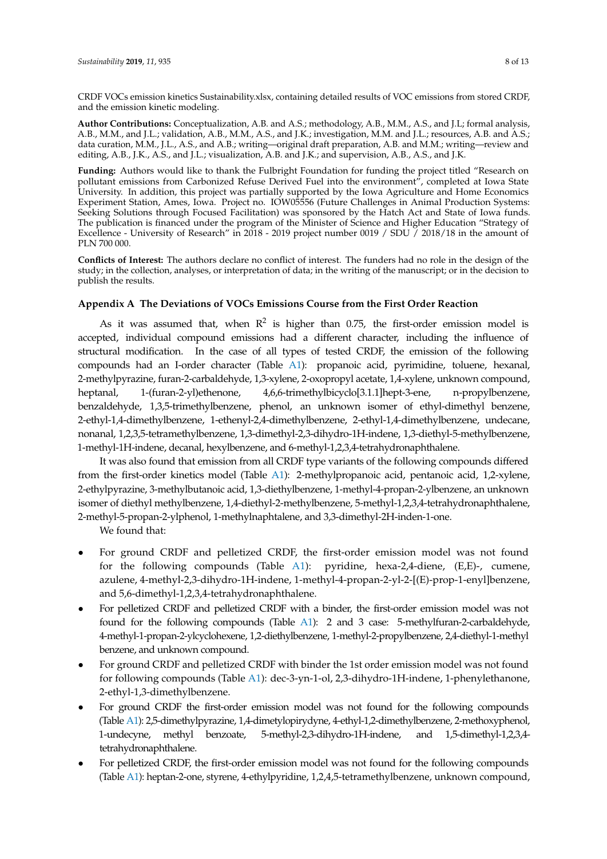**Author Contributions:** Conceptualization, A.B. and A.S.; methodology, A.B., M.M., A.S., and J.L; formal analysis, A.B., M.M., and J.L.; validation, A.B., M.M., A.S., and J.K.; investigation, M.M. and J.L.; resources, A.B. and A.S.; data curation, M.M., J.L., A.S., and A.B.; writing—original draft preparation, A.B. and M.M.; writing—review and editing, A.B., J.K., A.S., and J.L.; visualization, A.B. and J.K.; and supervision, A.B., A.S., and J.K.

**Funding:** Authors would like to thank the Fulbright Foundation for funding the project titled "Research on pollutant emissions from Carbonized Refuse Derived Fuel into the environment", completed at Iowa State University. In addition, this project was partially supported by the Iowa Agriculture and Home Economics Experiment Station, Ames, Iowa. Project no. IOW05556 (Future Challenges in Animal Production Systems: Seeking Solutions through Focused Facilitation) was sponsored by the Hatch Act and State of Iowa funds. The publication is financed under the program of the Minister of Science and Higher Education "Strategy of Excellence - University of Research" in 2018 - 2019 project number 0019 / SDU  $\frac{2018}{18}$  in the amount of PLN 700 000.

**Conflicts of Interest:** The authors declare no conflict of interest. The funders had no role in the design of the study; in the collection, analyses, or interpretation of data; in the writing of the manuscript; or in the decision to publish the results.

## <span id="page-7-0"></span>**Appendix A The Deviations of VOCs Emissions Course from the First Order Reaction**

As it was assumed that, when  $R^2$  is higher than 0.75, the first-order emission model is accepted, individual compound emissions had a different character, including the influence of structural modification. In the case of all types of tested CRDF, the emission of the following compounds had an I-order character (Table [A1\)](#page-9-0): propanoic acid, pyrimidine, toluene, hexanal, 2-methylpyrazine, furan-2-carbaldehyde, 1,3-xylene, 2-oxopropyl acetate, 1,4-xylene, unknown compound, heptanal, 1-(furan-2-yl)ethenone, 4,6,6-trimethylbicyclo[3.1.1]hept-3-ene, n-propylbenzene, benzaldehyde, 1,3,5-trimethylbenzene, phenol, an unknown isomer of ethyl-dimethyl benzene, 2-ethyl-1,4-dimethylbenzene, 1-ethenyl-2,4-dimethylbenzene, 2-ethyl-1,4-dimethylbenzene, undecane, nonanal, 1,2,3,5-tetramethylbenzene, 1,3-dimethyl-2,3-dihydro-1H-indene, 1,3-diethyl-5-methylbenzene, 1-methyl-1H-indene, decanal, hexylbenzene, and 6-methyl-1,2,3,4-tetrahydronaphthalene.

It was also found that emission from all CRDF type variants of the following compounds differed from the first-order kinetics model (Table [A1\)](#page-9-0): 2-methylpropanoic acid, pentanoic acid, 1,2-xylene, 2-ethylpyrazine, 3-methylbutanoic acid, 1,3-diethylbenzene, 1-methyl-4-propan-2-ylbenzene, an unknown isomer of diethyl methylbenzene, 1,4-diethyl-2-methylbenzene, 5-methyl-1,2,3,4-tetrahydronaphthalene, 2-methyl-5-propan-2-ylphenol, 1-methylnaphtalene, and 3,3-dimethyl-2H-inden-1-one.

We found that:

- For ground CRDF and pelletized CRDF, the first-order emission model was not found for the following compounds (Table [A1\)](#page-9-0): pyridine, hexa-2,4-diene, (E,E)-, cumene, azulene, 4-methyl-2,3-dihydro-1H-indene, 1-methyl-4-propan-2-yl-2-[(E)-prop-1-enyl]benzene, and 5,6-dimethyl-1,2,3,4-tetrahydronaphthalene.
- For pelletized CRDF and pelletized CRDF with a binder, the first-order emission model was not found for the following compounds (Table [A1\)](#page-9-0): 2 and 3 case: 5-methylfuran-2-carbaldehyde, 4-methyl-1-propan-2-ylcyclohexene, 1,2-diethylbenzene, 1-methyl-2-propylbenzene, 2,4-diethyl-1-methyl benzene, and unknown compound.
- For ground CRDF and pelletized CRDF with binder the 1st order emission model was not found for following compounds (Table [A1\)](#page-9-0): dec-3-yn-1-ol, 2,3-dihydro-1H-indene, 1-phenylethanone, 2-ethyl-1,3-dimethylbenzene.
- For ground CRDF the first-order emission model was not found for the following compounds (Table [A1\)](#page-9-0): 2,5-dimethylpyrazine, 1,4-dimetylopirydyne, 4-ethyl-1,2-dimethylbenzene, 2-methoxyphenol, 1-undecyne, methyl benzoate, 5-methyl-2,3-dihydro-1H-indene, and 1,5-dimethyl-1,2,3,4 tetrahydronaphthalene.
- For pelletized CRDF, the first-order emission model was not found for the following compounds (Table [A1\)](#page-9-0): heptan-2-one, styrene, 4-ethylpyridine, 1,2,4,5-tetramethylbenzene, unknown compound,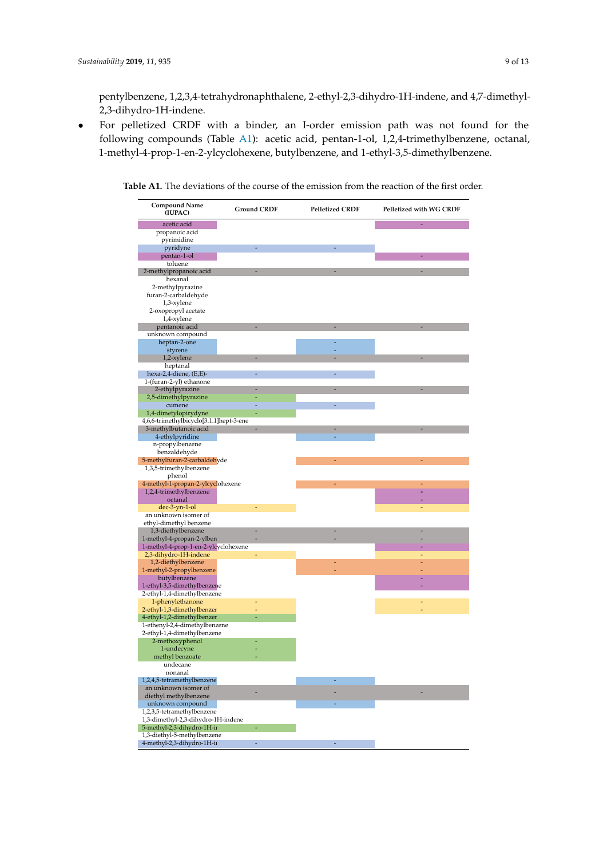pentylbenzene, 1,2,3,4-tetrahydronaphthalene, 2-ethyl-2,3-dihydro-1H-indene, and 4,7-dimethyl-2,3-dihydro-1H-indene.

• For pelletized CRDF with a binder, an I-order emission path was not found for the following compounds (Table [A1\)](#page-9-0): acetic acid, pentan-1-ol, 1,2,4-trimethylbenzene, octanal, 1-methyl-4-prop-1-en-2-ylcyclohexene, butylbenzene, and 1-ethyl-3,5-dimethylbenzene.

| Compound Name<br>(IUPAC)                                   | <b>Ground CRDF</b> | <b>Pelletized CRDF</b> | Pelletized with WG CRDF |
|------------------------------------------------------------|--------------------|------------------------|-------------------------|
| acetic acid                                                |                    |                        |                         |
| propanoic acid                                             |                    |                        |                         |
| pyrimidine                                                 |                    |                        |                         |
| pyridyne                                                   |                    |                        |                         |
| pentan-1-ol                                                |                    |                        |                         |
| toluene                                                    |                    |                        |                         |
| 2-methylpropanoic acid                                     |                    |                        |                         |
| hexanal                                                    |                    |                        |                         |
| 2-methylpyrazine<br>furan-2-carbaldehyde                   |                    |                        |                         |
| 1,3-xylene                                                 |                    |                        |                         |
| 2-oxopropyl acetate                                        |                    |                        |                         |
| 1,4-xylene                                                 |                    |                        |                         |
| pentanoic acid                                             |                    |                        |                         |
| unknown compound                                           |                    |                        |                         |
| heptan-2-one                                               |                    |                        |                         |
| styrene                                                    |                    |                        |                         |
| 1,2-xylene<br>heptanal                                     |                    |                        |                         |
| hexa-2,4-diene, (E,E)-                                     |                    |                        |                         |
| 1-(furan-2-yl) ethanone                                    |                    |                        |                         |
| 2-ethylpyrazine                                            |                    |                        |                         |
| 2,5-dimethylpyrazine                                       |                    |                        |                         |
| cumene                                                     |                    |                        |                         |
| 1,4-dimetylopirydyne                                       |                    |                        |                         |
| 4,6,6-trimethylbicyclo[3.1.1]hept-3-ene                    |                    |                        |                         |
| 3-methylbutanoic acid                                      |                    |                        |                         |
| 4-ethylpyridine<br>n-propylbenzene                         |                    |                        |                         |
| benzaldehyde                                               |                    |                        |                         |
| 5-methylfuran-2-carbaldehyde                               |                    |                        |                         |
| 1,3,5-trimethylbenzene                                     |                    |                        |                         |
| phenol                                                     |                    |                        |                         |
| 4-methyl-1-propan-2-ylcyclohexene                          |                    |                        | ٠                       |
| 1,2,4-trimethylbenzene                                     |                    |                        |                         |
| octanal                                                    |                    |                        |                         |
| dec-3-yn-1-ol<br>an unknown isomer of                      |                    |                        |                         |
| ethyl-dimethyl benzene                                     |                    |                        |                         |
| 1,3-diethylbenzene                                         |                    |                        |                         |
| 1-methyl-4-propan-2-ylben                                  |                    |                        |                         |
| 1-methyl-4-prop-1-en-2-ylcyclohexene                       |                    |                        |                         |
| 2,3-dihydro-1H-indene                                      |                    |                        |                         |
| 1,2-diethylbenzene                                         |                    |                        |                         |
| 1-methyl-2-propylbenzene                                   |                    |                        |                         |
| butylbenzene                                               |                    |                        |                         |
| 1-ethyl-3,5-dimethylbenzene<br>2-ethyl-1,4-dimethylbenzene |                    |                        |                         |
| 1-phenylethanone                                           |                    |                        |                         |
| 2-ethyl-1,3-dimethylbenzer                                 |                    |                        |                         |
| 4-ethyl-1,2-dimethylbenzer                                 |                    |                        |                         |
| 1-ethenyl-2,4-dimethylbenzene                              |                    |                        |                         |
| 2-ethyl-1,4-dimethylbenzene                                |                    |                        |                         |
| 2-methoxyphenol                                            |                    |                        |                         |
| 1-undecyne                                                 |                    |                        |                         |
| methyl benzoate<br>undecane                                |                    |                        |                         |
| nonanal                                                    |                    |                        |                         |
| 1,2,4,5-tetramethylbenzene                                 |                    |                        |                         |
| an unknown isomer of                                       |                    |                        |                         |
| diethyl methylbenzene                                      |                    |                        |                         |
| unknown compound                                           |                    |                        |                         |
| 1,2,3,5-tetramethylbenzene                                 |                    |                        |                         |
| 1,3-dimethyl-2,3-dihydro-1H-indene                         |                    |                        |                         |
| 5-methyl-2,3-dihydro-1H-ii<br>1,3-diethyl-5-methylbenzene  |                    |                        |                         |
| 4-methyl-2,3-dihydro-1H-ii                                 | ÷                  |                        |                         |
|                                                            |                    |                        |                         |

**Table A1.** The deviations of the course of the emission from the reaction of the first order.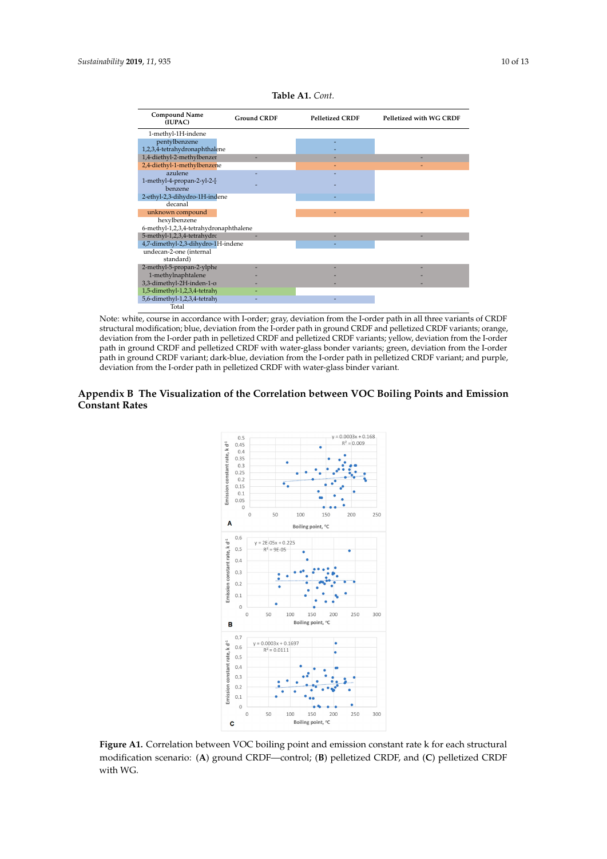<span id="page-9-0"></span>

Note: white, course in accordance with I-order; gray, deviation from the I-order path in all three variants of CRDF structural modification; blue, deviation from the I-order path in ground CRDF and pelletized CRDF variants; orange, deviation from the I-order path in pelletized CRDF and pelletized CRDF variants; yellow, deviation from the I-order path in ground CRDF and pelletized CRDF with water-glass bonder variants; green, deviation from the I-order path in ground CRDF variant; dark-blue, deviation from the I-order path in pelletized CRDF variant; and purple, deviation from the I-order path in pelletized CRDF with water-glass binder variant.

#### <span id="page-9-1"></span>**Appendix B The Visualization of the Correlation between VOC Boiling Points and Emission** *Sustainability* **2019**, *11*, x 11 of 14 **Constant Rates** 339 **Appendix B - the visualization of the correlation between VOC boiling points and emission**



342 **Figure B1.** Correlation between VOC boiling point and emission constant rate k for each structural **Figure A1.** Correlation between VOC boiling point and emission constant rate k for each structural modification scenario: (A) ground CRDF—control; (B) pelletized CRDF, and (C) pelletized CRDF with WG.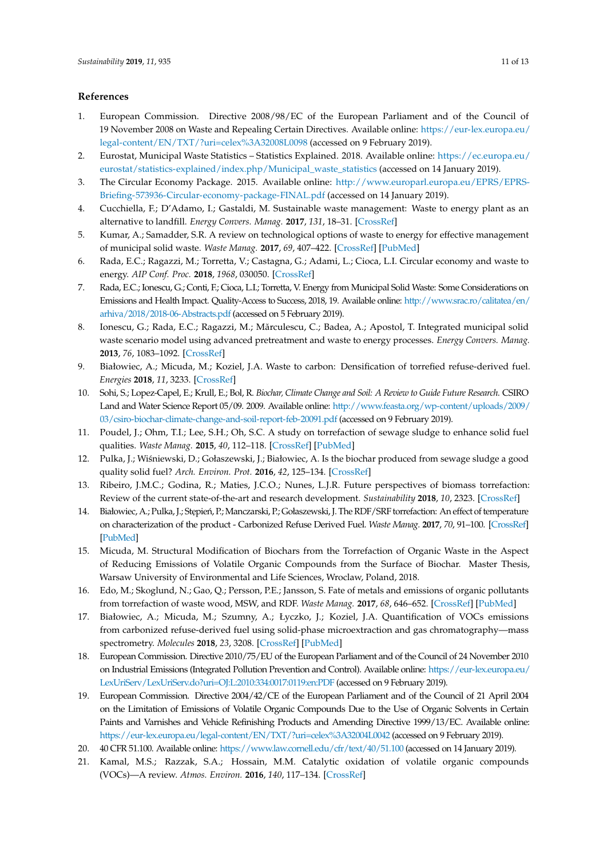#### **References**

- <span id="page-10-0"></span>1. European Commission. Directive 2008/98/EC of the European Parliament and of the Council of 19 November 2008 on Waste and Repealing Certain Directives. Available online: [https://eur-lex.europa.eu/](https://eur-lex.europa.eu/legal-content/EN/TXT/?uri=celex%3A32008L0098) [legal-content/EN/TXT/?uri=celex%3A32008L0098](https://eur-lex.europa.eu/legal-content/EN/TXT/?uri=celex%3A32008L0098) (accessed on 9 February 2019).
- <span id="page-10-1"></span>2. Eurostat, Municipal Waste Statistics – Statistics Explained. 2018. Available online: [https://ec.europa.eu/](https://ec.europa.eu/eurostat/statistics-explained/index.php/Municipal_waste_statistics) [eurostat/statistics-explained/index.php/Municipal\\_waste\\_statistics](https://ec.europa.eu/eurostat/statistics-explained/index.php/Municipal_waste_statistics) (accessed on 14 January 2019).
- <span id="page-10-2"></span>3. The Circular Economy Package. 2015. Available online: [http://www.europarl.europa.eu/EPRS/EPRS-](http://www.europarl.europa.eu/EPRS/EPRS-Briefing-573936-Circular-economy-package-FINAL.pdf)[Briefing-573936-Circular-economy-package-FINAL.pdf](http://www.europarl.europa.eu/EPRS/EPRS-Briefing-573936-Circular-economy-package-FINAL.pdf) (accessed on 14 January 2019).
- <span id="page-10-3"></span>4. Cucchiella, F.; D'Adamo, I.; Gastaldi, M. Sustainable waste management: Waste to energy plant as an alternative to landfill. *Energy Convers. Manag.* **2017**, *131*, 18–31. [\[CrossRef\]](http://dx.doi.org/10.1016/j.enconman.2016.11.012)
- <span id="page-10-4"></span>5. Kumar, A.; Samadder, S.R. A review on technological options of waste to energy for effective management of municipal solid waste. *Waste Manag.* **2017**, *69*, 407–422. [\[CrossRef\]](http://dx.doi.org/10.1016/j.wasman.2017.08.046) [\[PubMed\]](http://www.ncbi.nlm.nih.gov/pubmed/28886975)
- 6. Rada, E.C.; Ragazzi, M.; Torretta, V.; Castagna, G.; Adami, L.; Cioca, L.I. Circular economy and waste to energy. *AIP Conf. Proc.* **2018**, *1968*, 030050. [\[CrossRef\]](http://dx.doi.org/10.1063/1.5039237)
- 7. Rada, E.C.; Ionescu, G.; Conti, F.; Cioca, L.I.; Torretta, V. Energy from Municipal Solid Waste: Some Considerations on Emissions and Health Impact. Quality-Access to Success, 2018, 19. Available online: [http://www.srac.ro/calitatea/en/](http://www.srac.ro/calitatea/en/arhiva/2018/2018-06-Abstracts.pdf) [arhiva/2018/2018-06-Abstracts.pdf](http://www.srac.ro/calitatea/en/arhiva/2018/2018-06-Abstracts.pdf) (accessed on 5 February 2019).
- <span id="page-10-5"></span>8. Ionescu, G.; Rada, E.C.; Ragazzi, M.; Mărculescu, C.; Badea, A.; Apostol, T. Integrated municipal solid waste scenario model using advanced pretreatment and waste to energy processes. *Energy Convers. Manag.* **2013**, *76*, 1083–1092. [\[CrossRef\]](http://dx.doi.org/10.1016/j.enconman.2013.08.049)
- <span id="page-10-6"></span>9. Białowiec, A.; Micuda, M.; Koziel, J.A. Waste to carbon: Densification of torrefied refuse-derived fuel. *Energies* **2018**, *11*, 3233. [\[CrossRef\]](http://dx.doi.org/10.3390/en11113233)
- <span id="page-10-7"></span>10. Sohi, S.; Lopez-Capel, E.; Krull, E.; Bol, R. *Biochar, Climate Change and Soil: A Review to Guide Future Research*. CSIRO Land and Water Science Report 05/09. 2009. Available online: [http://www.feasta.org/wp-content/uploads/2009/](http://www.feasta.org/wp-content/uploads/2009/03/csiro-biochar-climate-change-and-soil-report-feb-20091.pdf) [03/csiro-biochar-climate-change-and-soil-report-feb-20091.pdf](http://www.feasta.org/wp-content/uploads/2009/03/csiro-biochar-climate-change-and-soil-report-feb-20091.pdf) (accessed on 9 February 2019).
- 11. Poudel, J.; Ohm, T.I.; Lee, S.H.; Oh, S.C. A study on torrefaction of sewage sludge to enhance solid fuel qualities. *Waste Manag.* **2015**, *40*, 112–118. [\[CrossRef\]](http://dx.doi.org/10.1016/j.wasman.2015.03.012) [\[PubMed\]](http://www.ncbi.nlm.nih.gov/pubmed/25812807)
- <span id="page-10-8"></span>12. Pulka, J.; Wiśniewski, D.; Gołaszewski, J.; Białowiec, A. Is the biochar produced from sewage sludge a good quality solid fuel? *Arch. Environ. Prot.* **2016**, *42*, 125–134. [\[CrossRef\]](http://dx.doi.org/10.1515/aep-2016-0043)
- <span id="page-10-9"></span>13. Ribeiro, J.M.C.; Godina, R.; Maties, J.C.O.; Nunes, L.J.R. Future perspectives of biomass torrefaction: Review of the current state-of-the-art and research development. *Sustainability* **2018**, *10*, 2323. [\[CrossRef\]](http://dx.doi.org/10.3390/su10072323)
- <span id="page-10-10"></span>14. Białowiec, A.; Pulka, J.; Stępień, P.; Manczarski, P.; Gołaszewski, J. The RDF/SRF torrefaction: An effect of temperature on characterization of the product - Carbonized Refuse Derived Fuel. *Waste Manag.* **2017**, *70*, 91–100. [\[CrossRef\]](http://dx.doi.org/10.1016/j.wasman.2017.09.020) [\[PubMed\]](http://www.ncbi.nlm.nih.gov/pubmed/28951151)
- <span id="page-10-11"></span>15. Micuda, M. Structural Modification of Biochars from the Torrefaction of Organic Waste in the Aspect of Reducing Emissions of Volatile Organic Compounds from the Surface of Biochar. Master Thesis, Warsaw University of Environmental and Life Sciences, Wroclaw, Poland, 2018.
- <span id="page-10-12"></span>16. Edo, M.; Skoglund, N.; Gao, Q.; Persson, P.E.; Jansson, S. Fate of metals and emissions of organic pollutants from torrefaction of waste wood, MSW, and RDF. *Waste Manag.* **2017**, *68*, 646–652. [\[CrossRef\]](http://dx.doi.org/10.1016/j.wasman.2017.06.017) [\[PubMed\]](http://www.ncbi.nlm.nih.gov/pubmed/28633911)
- <span id="page-10-13"></span>17. Białowiec, A.; Micuda, M.; Szumny, A.; Łyczko, J.; Koziel, J.A. Quantification of VOCs emissions from carbonized refuse-derived fuel using solid-phase microextraction and gas chromatography—mass spectrometry. *Molecules* **2018**, *23*, 3208. [\[CrossRef\]](http://dx.doi.org/10.3390/molecules23123208) [\[PubMed\]](http://www.ncbi.nlm.nih.gov/pubmed/30563101)
- <span id="page-10-14"></span>18. European Commission. Directive 2010/75/EU of the European Parliament and of the Council of 24 November 2010 on Industrial Emissions (Integrated Pollution Prevention and Control). Available online: [https://eur-lex.europa.eu/](https://eur-lex.europa.eu/LexUriServ/LexUriServ.do?uri=OJ:L:2010:334:0017:0119:en:PDF) [LexUriServ/LexUriServ.do?uri=OJ:L:2010:334:0017:0119:en:PDF](https://eur-lex.europa.eu/LexUriServ/LexUriServ.do?uri=OJ:L:2010:334:0017:0119:en:PDF) (accessed on 9 February 2019).
- <span id="page-10-15"></span>19. European Commission. Directive 2004/42/CE of the European Parliament and of the Council of 21 April 2004 on the Limitation of Emissions of Volatile Organic Compounds Due to the Use of Organic Solvents in Certain Paints and Varnishes and Vehicle Refinishing Products and Amending Directive 1999/13/EC. Available online: <https://eur-lex.europa.eu/legal-content/EN/TXT/?uri=celex%3A32004L0042> (accessed on 9 February 2019).
- <span id="page-10-16"></span>20. 40 CFR 51.100. Available online: <https://www.law.cornell.edu/cfr/text/40/51.100> (accessed on 14 January 2019).
- <span id="page-10-17"></span>21. Kamal, M.S.; Razzak, S.A.; Hossain, M.M. Catalytic oxidation of volatile organic compounds (VOCs)—A review. *Atmos. Environ.* **2016**, *140*, 117–134. [\[CrossRef\]](http://dx.doi.org/10.1016/j.atmosenv.2016.05.031)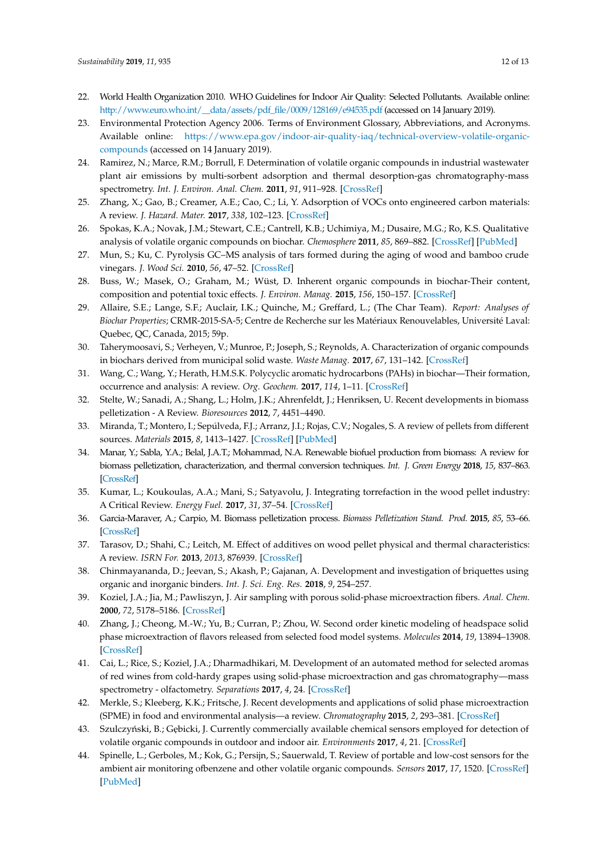- <span id="page-11-0"></span>22. World Health Organization 2010. WHO Guidelines for Indoor Air Quality: Selected Pollutants. Available online: [http://www.euro.who.int/\\_\\_data/assets/pdf\\_file/0009/128169/e94535.pdf](http://www.euro.who.int/__data/assets/pdf_file/0009/128169/e94535.pdf) (accessed on 14 January 2019).
- <span id="page-11-1"></span>23. Environmental Protection Agency 2006. Terms of Environment Glossary, Abbreviations, and Acronyms. Available online: [https://www.epa.gov/indoor-air-quality-iaq/technical-overview-volatile-organic](https://www.epa.gov/indoor-air-quality-iaq/technical-overview-volatile-organic-compounds)[compounds](https://www.epa.gov/indoor-air-quality-iaq/technical-overview-volatile-organic-compounds) (accessed on 14 January 2019).
- <span id="page-11-2"></span>24. Ramirez, N.; Marce, R.M.; Borrull, F. Determination of volatile organic compounds in industrial wastewater plant air emissions by multi-sorbent adsorption and thermal desorption-gas chromatography-mass spectrometry. *Int. J. Environ. Anal. Chem.* **2011**, *91*, 911–928. [\[CrossRef\]](http://dx.doi.org/10.1080/03067310903584073)
- <span id="page-11-3"></span>25. Zhang, X.; Gao, B.; Creamer, A.E.; Cao, C.; Li, Y. Adsorption of VOCs onto engineered carbon materials: A review. *J. Hazard. Mater.* **2017**, *338*, 102–123. [\[CrossRef\]](http://dx.doi.org/10.1016/j.jhazmat.2017.05.013)
- <span id="page-11-4"></span>26. Spokas, K.A.; Novak, J.M.; Stewart, C.E.; Cantrell, K.B.; Uchimiya, M.; Dusaire, M.G.; Ro, K.S. Qualitative analysis of volatile organic compounds on biochar. *Chemosphere* **2011**, *85*, 869–882. [\[CrossRef\]](http://dx.doi.org/10.1016/j.chemosphere.2011.06.108) [\[PubMed\]](http://www.ncbi.nlm.nih.gov/pubmed/21788060)
- <span id="page-11-5"></span>27. Mun, S.; Ku, C. Pyrolysis GC–MS analysis of tars formed during the aging of wood and bamboo crude vinegars. *J. Wood Sci.* **2010**, *56*, 47–52. [\[CrossRef\]](http://dx.doi.org/10.1007/s10086-009-1054-0)
- <span id="page-11-6"></span>28. Buss, W.; Masek, O.; Graham, M.; Wüst, D. Inherent organic compounds in biochar-Their content, composition and potential toxic effects. *J. Environ. Manag.* **2015**, *156*, 150–157. [\[CrossRef\]](http://dx.doi.org/10.1016/j.jenvman.2015.03.035)
- <span id="page-11-7"></span>29. Allaire, S.E.; Lange, S.F.; Auclair, I.K.; Quinche, M.; Greffard, L.; (The Char Team). *Report: Analyses of Biochar Properties*; CRMR-2015-SA-5; Centre de Recherche sur les Matériaux Renouvelables, Université Laval: Quebec, QC, Canada, 2015; 59p.
- <span id="page-11-8"></span>30. Taherymoosavi, S.; Verheyen, V.; Munroe, P.; Joseph, S.; Reynolds, A. Characterization of organic compounds in biochars derived from municipal solid waste. *Waste Manag.* **2017**, *67*, 131–142. [\[CrossRef\]](http://dx.doi.org/10.1016/j.wasman.2017.05.052)
- <span id="page-11-9"></span>31. Wang, C.; Wang, Y.; Herath, H.M.S.K. Polycyclic aromatic hydrocarbons (PAHs) in biochar—Their formation, occurrence and analysis: A review. *Org. Geochem.* **2017**, *114*, 1–11. [\[CrossRef\]](http://dx.doi.org/10.1016/j.orggeochem.2017.09.001)
- <span id="page-11-10"></span>32. Stelte, W.; Sanadi, A.; Shang, L.; Holm, J.K.; Ahrenfeldt, J.; Henriksen, U. Recent developments in biomass pelletization - A Review. *Bioresources* **2012**, *7*, 4451–4490.
- 33. Miranda, T.; Montero, I.; Sepúlveda, F.J.; Arranz, J.I.; Rojas, C.V.; Nogales, S. A review of pellets from different sources. *Materials* **2015**, *8*, 1413–1427. [\[CrossRef\]](http://dx.doi.org/10.3390/ma8041413) [\[PubMed\]](http://www.ncbi.nlm.nih.gov/pubmed/28788009)
- <span id="page-11-11"></span>34. Manar, Y.; Sabla, Y.A.; Belal, J.A.T.; Mohammad, N.A. Renewable biofuel production from biomass: A review for biomass pelletization, characterization, and thermal conversion techniques. *Int. J. Green Energy* **2018**, *15*, 837–863. [\[CrossRef\]](http://dx.doi.org/10.1080/15435075.2018.1529581)
- <span id="page-11-12"></span>35. Kumar, L.; Koukoulas, A.A.; Mani, S.; Satyavolu, J. Integrating torrefaction in the wood pellet industry: A Critical Review. *Energy Fuel.* **2017**, *31*, 37–54. [\[CrossRef\]](http://dx.doi.org/10.1021/acs.energyfuels.6b02803)
- <span id="page-11-13"></span>36. Garcia-Maraver, A.; Carpio, M. Biomass pelletization process. *Biomass Pelletization Stand. Prod.* **2015**, *85*, 53–66. [\[CrossRef\]](http://dx.doi.org/10.2495/978-1-84566-062-8/004)
- <span id="page-11-14"></span>37. Tarasov, D.; Shahi, C.; Leitch, M. Effect of additives on wood pellet physical and thermal characteristics: A review. *ISRN For.* **2013**, *2013*, 876939. [\[CrossRef\]](http://dx.doi.org/10.1155/2013/876939)
- <span id="page-11-15"></span>38. Chinmayananda, D.; Jeevan, S.; Akash, P.; Gajanan, A. Development and investigation of briquettes using organic and inorganic binders. *Int. J. Sci. Eng. Res.* **2018**, *9*, 254–257.
- <span id="page-11-16"></span>39. Koziel, J.A.; Jia, M.; Pawliszyn, J. Air sampling with porous solid-phase microextraction fibers. *Anal. Chem.* **2000**, *72*, 5178–5186. [\[CrossRef\]](http://dx.doi.org/10.1021/ac000518l)
- 40. Zhang, J.; Cheong, M.-W.; Yu, B.; Curran, P.; Zhou, W. Second order kinetic modeling of headspace solid phase microextraction of flavors released from selected food model systems. *Molecules* **2014**, *19*, 13894–13908. [\[CrossRef\]](http://dx.doi.org/10.3390/molecules190913894)
- 41. Cai, L.; Rice, S.; Koziel, J.A.; Dharmadhikari, M. Development of an automated method for selected aromas of red wines from cold-hardy grapes using solid-phase microextraction and gas chromatography—mass spectrometry - olfactometry. *Separations* **2017**, *4*, 24. [\[CrossRef\]](http://dx.doi.org/10.3390/separations4030024)
- <span id="page-11-17"></span>42. Merkle, S.; Kleeberg, K.K.; Fritsche, J. Recent developments and applications of solid phase microextraction (SPME) in food and environmental analysis—a review. *Chromatography* **2015**, *2*, 293–381. [\[CrossRef\]](http://dx.doi.org/10.3390/chromatography2030293)
- <span id="page-11-18"></span>43. Szulczyński, B.; Gębicki, J. Currently commercially available chemical sensors employed for detection of volatile organic compounds in outdoor and indoor air. *Environments* **2017**, *4*, 21. [\[CrossRef\]](http://dx.doi.org/10.3390/environments4010021)
- 44. Spinelle, L.; Gerboles, M.; Kok, G.; Persijn, S.; Sauerwald, T. Review of portable and low-cost sensors for the ambient air monitoring ofbenzene and other volatile organic compounds. *Sensors* **2017**, *17*, 1520. [\[CrossRef\]](http://dx.doi.org/10.3390/s17071520) [\[PubMed\]](http://www.ncbi.nlm.nih.gov/pubmed/28657595)